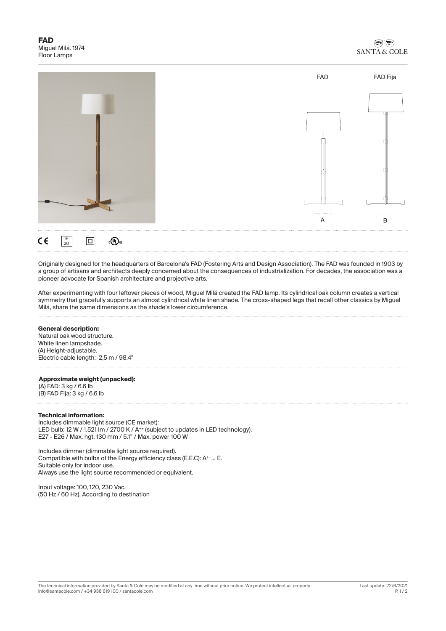

Originally designed for the headquarters of Barcelona's FAD (Fostering Arts and Design Association). The FAD was founded in 1903 by a group of artisans and architects deeply concerned about the consequences of industrialization. For decades, the association was a pioneer advocate for Spanish architecture and projective arts.

After experimenting with four leftover pieces of wood, Miguel Milá created the FAD lamp. Its cylindrical oak column creates a vertical symmetry that gracefully supports an almost cylindrical white linen shade. The cross-shaped legs that recall other classics by Miguel Milá, share the same dimensions as the shade's lower circumference.

## **General description:**

Natural oak wood structure. White linen lampshade. (A) Height-adjustable. Electric cable length: 2,5 m / 98.4"

#### **Approximate weight (unpacked):**

(A) FAD: 3 kg / 6.6 lb (B) FAD Fija: 3 kg / 6.6 lb

## **Technical information:**

Includes dimmable light source (CE market): LED bulb: 12 W / 1.521 lm / 2700 K / A<sup>++</sup> (subject to updates in LED technology). E27 - E26 / Max. hgt. 130 mm / 5.1" / Max. power 100 W

Includes dimmer (dimmable light source required). Compatible with bulbs of the Energy efficiency class (E.E.C): A++... E. Suitable only for indoor use. Always use the light source recommended or equivalent.

Input voltage: 100, 120, 230 Vac. (50 Hz / 60 Hz). According to destination